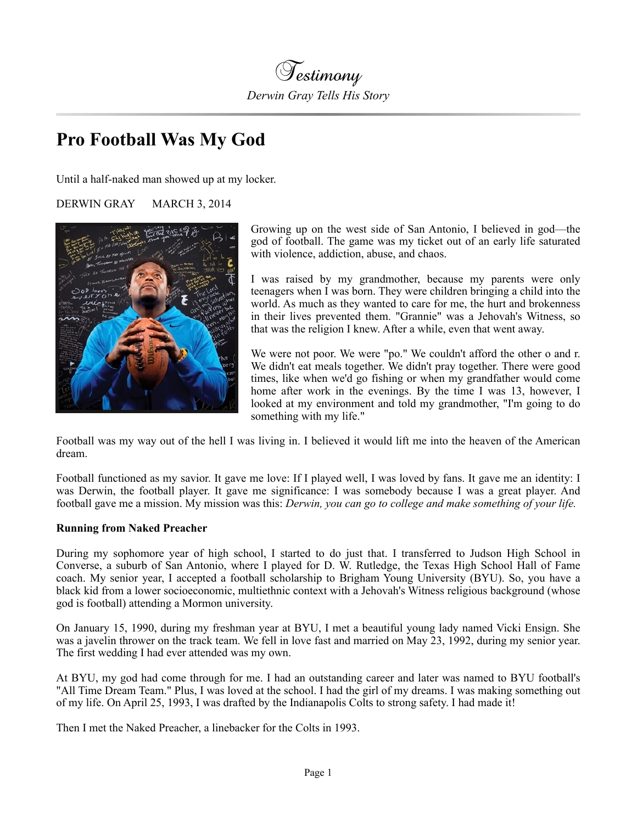

# **Pro Football Was My God**

Until a half-naked man showed up at my locker.

## DERWIN GRAY MARCH 3, 2014



Growing up on the west side of San Antonio, I believed in god—the god of football. The game was my ticket out of an early life saturated with violence, addiction, abuse, and chaos.

I was raised by my grandmother, because my parents were only teenagers when I was born. They were children bringing a child into the world. As much as they wanted to care for me, the hurt and brokenness in their lives prevented them. "Grannie" was a Jehovah's Witness, so that was the religion I knew. After a while, even that went away.

We were not poor. We were "po." We couldn't afford the other o and r. We didn't eat meals together. We didn't pray together. There were good times, like when we'd go fishing or when my grandfather would come home after work in the evenings. By the time I was 13, however, I looked at my environment and told my grandmother, "I'm going to do something with my life."

Football was my way out of the hell I was living in. I believed it would lift me into the heaven of the American dream.

Football functioned as my savior. It gave me love: If I played well, I was loved by fans. It gave me an identity: I was Derwin, the football player. It gave me significance: I was somebody because I was a great player. And football gave me a mission. My mission was this: *Derwin, you can go to college and make something of your life.*

#### **Running from Naked Preacher**

During my sophomore year of high school, I started to do just that. I transferred to Judson High School in Converse, a suburb of San Antonio, where I played for D. W. Rutledge, the Texas High School Hall of Fame coach. My senior year, I accepted a football scholarship to Brigham Young University (BYU). So, you have a black kid from a lower socioeconomic, multiethnic context with a Jehovah's Witness religious background (whose god is football) attending a Mormon university.

On January 15, 1990, during my freshman year at BYU, I met a beautiful young lady named Vicki Ensign. She was a javelin thrower on the track team. We fell in love fast and married on May 23, 1992, during my senior year. The first wedding I had ever attended was my own.

At BYU, my god had come through for me. I had an outstanding career and later was named to BYU football's "All Time Dream Team." Plus, I was loved at the school. I had the girl of my dreams. I was making something out of my life. On April 25, 1993, I was drafted by the Indianapolis Colts to strong safety. I had made it!

Then I met the Naked Preacher, a linebacker for the Colts in 1993.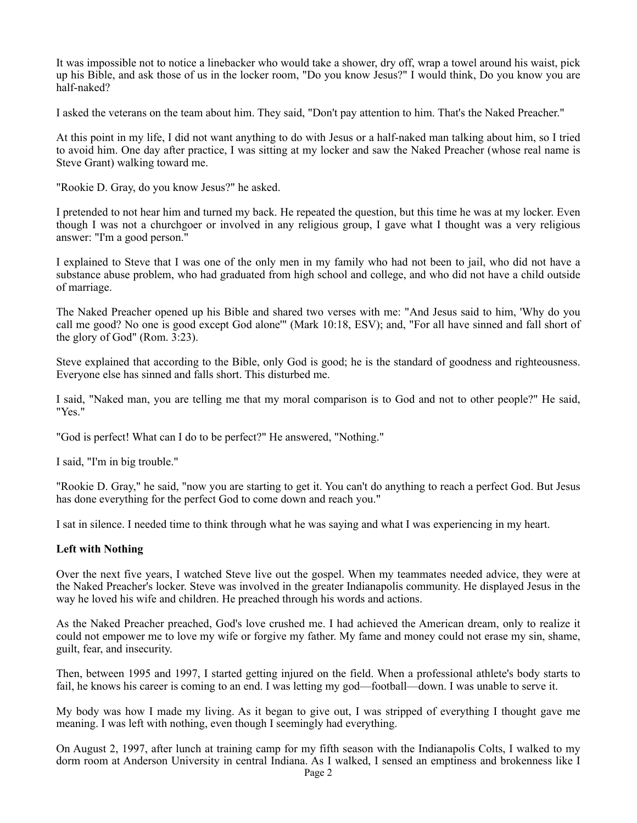It was impossible not to notice a linebacker who would take a shower, dry off, wrap a towel around his waist, pick up his Bible, and ask those of us in the locker room, "Do you know Jesus?" I would think, Do you know you are half-naked?

I asked the veterans on the team about him. They said, "Don't pay attention to him. That's the Naked Preacher."

At this point in my life, I did not want anything to do with Jesus or a half-naked man talking about him, so I tried to avoid him. One day after practice, I was sitting at my locker and saw the Naked Preacher (whose real name is Steve Grant) walking toward me.

"Rookie D. Gray, do you know Jesus?" he asked.

I pretended to not hear him and turned my back. He repeated the question, but this time he was at my locker. Even though I was not a churchgoer or involved in any religious group, I gave what I thought was a very religious answer: "I'm a good person."

I explained to Steve that I was one of the only men in my family who had not been to jail, who did not have a substance abuse problem, who had graduated from high school and college, and who did not have a child outside of marriage.

The Naked Preacher opened up his Bible and shared two verses with me: "And Jesus said to him, 'Why do you call me good? No one is good except God alone'" (Mark 10:18, ESV); and, "For all have sinned and fall short of the glory of God" (Rom. 3:23).

Steve explained that according to the Bible, only God is good; he is the standard of goodness and righteousness. Everyone else has sinned and falls short. This disturbed me.

I said, "Naked man, you are telling me that my moral comparison is to God and not to other people?" He said, "Yes."

"God is perfect! What can I do to be perfect?" He answered, "Nothing."

I said, "I'm in big trouble."

"Rookie D. Gray," he said, "now you are starting to get it. You can't do anything to reach a perfect God. But Jesus has done everything for the perfect God to come down and reach you."

I sat in silence. I needed time to think through what he was saying and what I was experiencing in my heart.

#### **Left with Nothing**

Over the next five years, I watched Steve live out the gospel. When my teammates needed advice, they were at the Naked Preacher's locker. Steve was involved in the greater Indianapolis community. He displayed Jesus in the way he loved his wife and children. He preached through his words and actions.

As the Naked Preacher preached, God's love crushed me. I had achieved the American dream, only to realize it could not empower me to love my wife or forgive my father. My fame and money could not erase my sin, shame, guilt, fear, and insecurity.

Then, between 1995 and 1997, I started getting injured on the field. When a professional athlete's body starts to fail, he knows his career is coming to an end. I was letting my god—football—down. I was unable to serve it.

My body was how I made my living. As it began to give out, I was stripped of everything I thought gave me meaning. I was left with nothing, even though I seemingly had everything.

On August 2, 1997, after lunch at training camp for my fifth season with the Indianapolis Colts, I walked to my dorm room at Anderson University in central Indiana. As I walked, I sensed an emptiness and brokenness like I